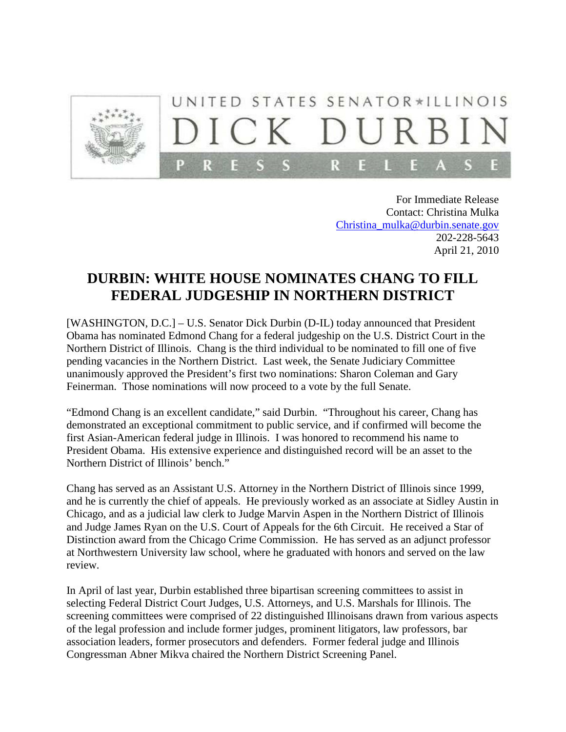

For Immediate Release Contact: Christina Mulka [Christina\\_mulka@durbin.senate.gov](mailto:Christina_mulka@durbin.senate.gov) 202-228-5643 April 21, 2010

## **DURBIN: WHITE HOUSE NOMINATES CHANG TO FILL FEDERAL JUDGESHIP IN NORTHERN DISTRICT**

[WASHINGTON, D.C.] – U.S. Senator Dick Durbin (D-IL) today announced that President Obama has nominated Edmond Chang for a federal judgeship on the U.S. District Court in the Northern District of Illinois. Chang is the third individual to be nominated to fill one of five pending vacancies in the Northern District. Last week, the Senate Judiciary Committee unanimously approved the President's first two nominations: Sharon Coleman and Gary Feinerman. Those nominations will now proceed to a vote by the full Senate.

"Edmond Chang is an excellent candidate," said Durbin. "Throughout his career, Chang has demonstrated an exceptional commitment to public service, and if confirmed will become the first Asian-American federal judge in Illinois. I was honored to recommend his name to President Obama. His extensive experience and distinguished record will be an asset to the Northern District of Illinois' bench."

Chang has served as an Assistant U.S. Attorney in the Northern District of Illinois since 1999, and he is currently the chief of appeals. He previously worked as an associate at Sidley Austin in Chicago, and as a judicial law clerk to Judge Marvin Aspen in the Northern District of Illinois and Judge James Ryan on the U.S. Court of Appeals for the 6th Circuit. He received a Star of Distinction award from the Chicago Crime Commission. He has served as an adjunct professor at Northwestern University law school, where he graduated with honors and served on the law review.

In April of last year, Durbin established three bipartisan screening committees to assist in selecting Federal District Court Judges, U.S. Attorneys, and U.S. Marshals for Illinois. The screening committees were comprised of 22 distinguished Illinoisans drawn from various aspects of the legal profession and include former judges, prominent litigators, law professors, bar association leaders, former prosecutors and defenders. Former federal judge and Illinois Congressman Abner Mikva chaired the Northern District Screening Panel.